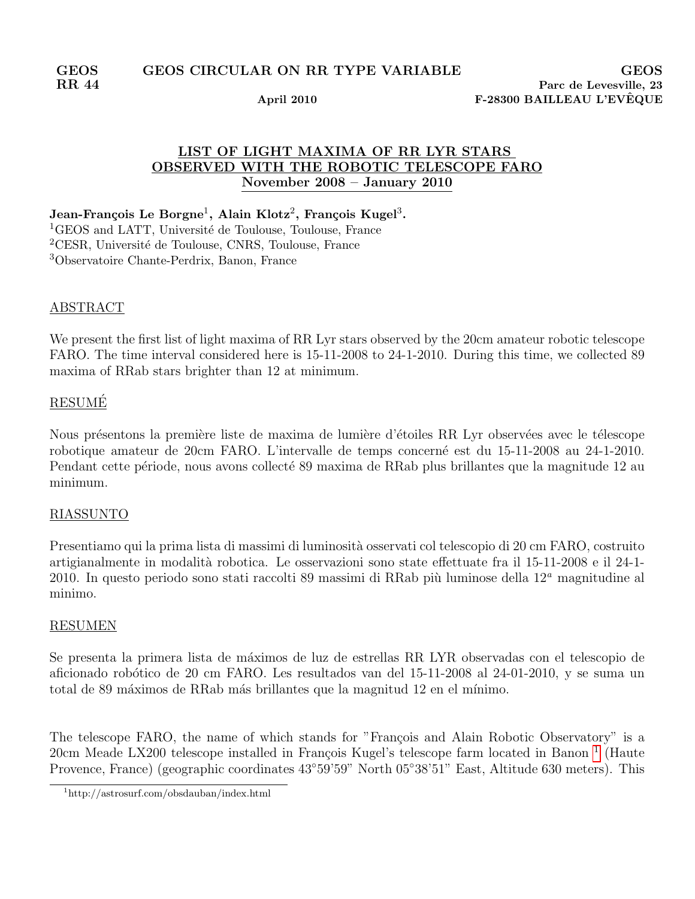# LIST OF LIGHT MAXIMA OF RR LYR STARS OBSERVED WITH THE ROBOTIC TELESCOPE FARO November 2008 – January 2010

Jean-François Le Borgne $^1,$  Alain Klotz $^2,$  François Kugel $^3.$ 

<sup>1</sup>GEOS and LATT, Université de Toulouse, Toulouse, France <sup>2</sup>CESR, Université de Toulouse, CNRS, Toulouse, France <sup>3</sup>Observatoire Chante-Perdrix, Banon, France

### ABSTRACT

We present the first list of light maxima of RR Lyr stars observed by the 20cm amateur robotic telescope FARO. The time interval considered here is 15-11-2008 to 24-1-2010. During this time, we collected 89 maxima of RRab stars brighter than 12 at minimum.

## RESUME´

Nous présentons la première liste de maxima de lumière d'étoiles RR Lyr observées avec le télescope robotique amateur de 20cm FARO. L'intervalle de temps concerné est du 15-11-2008 au 24-1-2010. Pendant cette période, nous avons collecté 89 maxima de RRab plus brillantes que la magnitude 12 au minimum.

#### RIASSUNTO

Presentiamo qui la prima lista di massimi di luminosità osservati col telescopio di 20 cm FARO, costruito artigianalmente in modalità robotica. Le osservazioni sono state effettuate fra il 15-11-2008 e il 24-1-2010. In questo periodo sono stati raccolti 89 massimi di RRab più luminose della  $12<sup>a</sup>$  magnitudine al minimo.

#### RESUMEN

Se presenta la primera lista de máximos de luz de estrellas RR LYR observadas con el telescopio de aficionado robótico de 20 cm FARO. Les resultados van del 15-11-2008 al 24-01-2010, y se suma un total de 89 máximos de RRab más brillantes que la magnitud 12 en el mínimo.

The telescope FARO, the name of which stands for "François and Alain Robotic Observatory" is a 20cm Meade LX200 telescope installed in François Kugel's telescope farm located in Banon<sup>[1](#page-0-0)</sup> (Haute Provence, France) (geographic coordinates 43◦59'59" North 05◦38'51" East, Altitude 630 meters). This

<span id="page-0-0"></span><sup>1</sup>http://astrosurf.com/obsdauban/index.html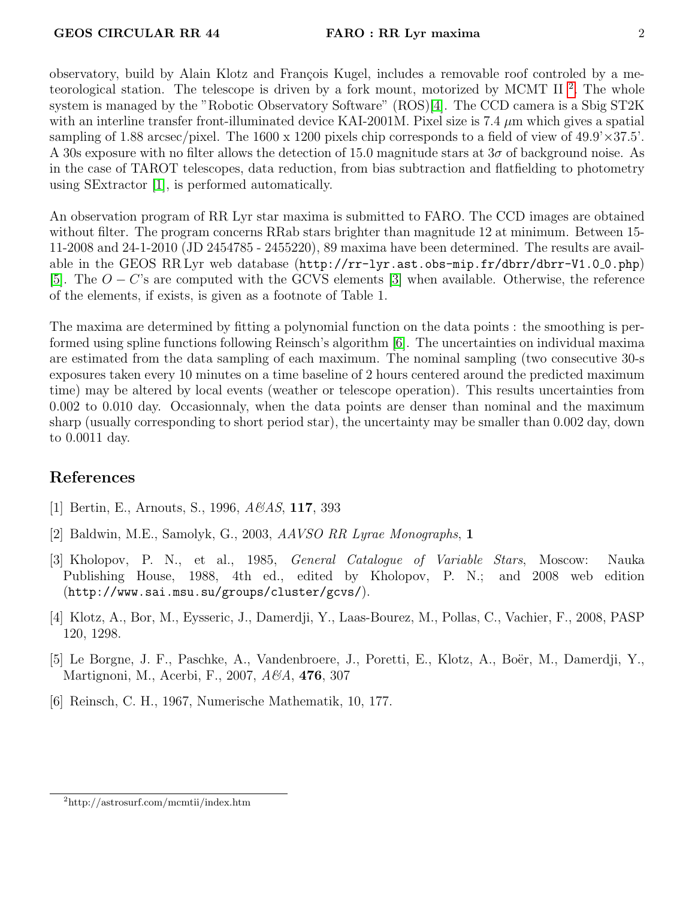observatory, build by Alain Klotz and François Kugel, includes a removable roof controled by a me-teorological station. The telescope is driven by a fork mount, motorized by MCMT II<sup>[2](#page-1-0)</sup>. The whole system is managed by the "Robotic Observatory Software" (ROS)[\[4\]](#page-1-1). The CCD camera is a Sbig ST2K with an interline transfer front-illuminated device KAI-2001M. Pixel size is 7.4  $\mu$ m which gives a spatial sampling of 1.88 arcsec/pixel. The 1600 x 1200 pixels chip corresponds to a field of view of  $49.9 \times 37.5'$ . A 30s exposure with no filter allows the detection of 15.0 magnitude stars at  $3\sigma$  of background noise. As in the case of TAROT telescopes, data reduction, from bias subtraction and flatfielding to photometry using SExtractor [\[1\]](#page-1-2), is performed automatically.

An observation program of RR Lyr star maxima is submitted to FARO. The CCD images are obtained without filter. The program concerns RRab stars brighter than magnitude 12 at minimum. Between 15- 11-2008 and 24-1-2010 (JD 2454785 - 2455220), 89 maxima have been determined. The results are available in the GEOS RR Lyr web database  $(\text{http://rr-lyr.ast.obs-mip.fr/dbrr/dbr-V1.0_0.php})$ [\[5\]](#page-1-3). The O − C's are computed with the GCVS elements [\[3\]](#page-1-4) when available. Otherwise, the reference of the elements, if exists, is given as a footnote of Table 1.

The maxima are determined by fitting a polynomial function on the data points : the smoothing is performed using spline functions following Reinsch's algorithm [\[6\]](#page-1-5). The uncertainties on individual maxima are estimated from the data sampling of each maximum. The nominal sampling (two consecutive 30-s exposures taken every 10 minutes on a time baseline of 2 hours centered around the predicted maximum time) may be altered by local events (weather or telescope operation). This results uncertainties from 0.002 to 0.010 day. Occasionnaly, when the data points are denser than nominal and the maximum sharp (usually corresponding to short period star), the uncertainty may be smaller than 0.002 day, down to 0.0011 day.

# References

- <span id="page-1-2"></span>[1] Bertin, E., Arnouts, S., 1996, A&AS, 117, 393
- [2] Baldwin, M.E., Samolyk, G., 2003, AAVSO RR Lyrae Monographs, 1
- <span id="page-1-4"></span>[3] Kholopov, P. N., et al., 1985, General Catalogue of Variable Stars, Moscow: Nauka Publishing House, 1988, 4th ed., edited by Kholopov, P. N.; and 2008 web edition (http://www.sai.msu.su/groups/cluster/gcvs/).
- <span id="page-1-1"></span>[4] Klotz, A., Bor, M., Eysseric, J., Damerdji, Y., Laas-Bourez, M., Pollas, C., Vachier, F., 2008, PASP 120, 1298.
- <span id="page-1-3"></span>[5] Le Borgne, J. F., Paschke, A., Vandenbroere, J., Poretti, E., Klotz, A., Boër, M., Damerdji, Y., Martignoni, M., Acerbi, F., 2007, A&A, **476**, 307
- <span id="page-1-5"></span>[6] Reinsch, C. H., 1967, Numerische Mathematik, 10, 177.

<span id="page-1-0"></span><sup>2</sup>http://astrosurf.com/mcmtii/index.htm